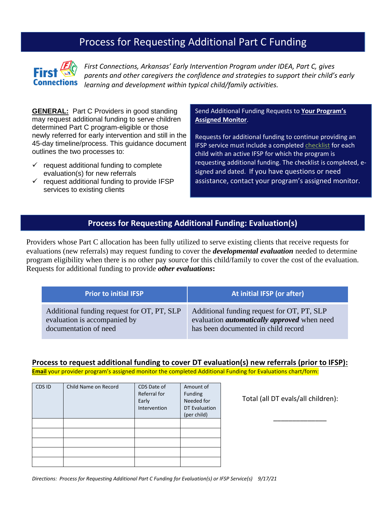# Process for Requesting Additional Part C Funding



*First Connections, Arkansas' Early Intervention Program under IDEA, Part C, gives parents and other caregivers the confidence and strategies to support their child's early learning and development within typical child/family activities.*

**GENERAL:** Part C Providers in good standing may request additional funding to serve children determined Part C program-eligible or those newly referred for early intervention and still in the 45-day timeline/process. This guidance document outlines the two processes to:

- $\checkmark$  request additional funding to complete evaluation(s) for new referrals
- $\checkmark$  request additional funding to provide IFSP services to existing clients

Send Additional Funding Requests to **Your Program's Assigned Monitor**.

Requests for additional funding to continue providing an IFSP service must include a completed [checklist](https://dhs.arkansas.gov/dds/firstconnectionsweb/WordDocs/Request%20Process%20Checklist.docx) for each child with an active IFSP for which the program is requesting additional funding. The checklist is completed, esigned and dated. If you have questions or need assistance, contact your program's assigned monitor.

## **Process for Requesting Additional Funding: Evaluation(s)**

Providers whose Part C allocation has been fully utilized to serve existing clients that receive requests for evaluations (new referrals) may request funding to cover the *developmental evaluation* needed to determine program eligibility when there is no other pay source for this child/family to cover the cost of the evaluation. Requests for additional funding to provide *other evaluations***:**

| <b>Prior to initial IFSP</b>               | At initial IFSP (or after)                         |  |
|--------------------------------------------|----------------------------------------------------|--|
| Additional funding request for OT, PT, SLP | Additional funding request for OT, PT, SLP         |  |
| evaluation is accompanied by               | evaluation <i>automatically approved</i> when need |  |
| documentation of need                      | has been documented in child record                |  |

#### **Process to request additional funding to cover DT evaluation(s) new referrals (prior to IFSP):**

**Email** your provider program's assigned monitor the completed Additional Funding for Evaluations chart/form:

| CDS ID | Child Name on Record | CDS Date of<br>Referral for<br>Early<br>Intervention | Amount of<br>Funding<br>Needed for<br><b>DT Evaluation</b> |
|--------|----------------------|------------------------------------------------------|------------------------------------------------------------|
|        |                      |                                                      | (per child)                                                |
|        |                      |                                                      |                                                            |
|        |                      |                                                      |                                                            |
|        |                      |                                                      |                                                            |
|        |                      |                                                      |                                                            |

Total (all DT evals/all children):

 $\frac{1}{\sqrt{2}}$  ,  $\frac{1}{\sqrt{2}}$  ,  $\frac{1}{\sqrt{2}}$  ,  $\frac{1}{\sqrt{2}}$  ,  $\frac{1}{\sqrt{2}}$  ,  $\frac{1}{\sqrt{2}}$  ,  $\frac{1}{\sqrt{2}}$  ,  $\frac{1}{\sqrt{2}}$  ,  $\frac{1}{\sqrt{2}}$  ,  $\frac{1}{\sqrt{2}}$  ,  $\frac{1}{\sqrt{2}}$  ,  $\frac{1}{\sqrt{2}}$  ,  $\frac{1}{\sqrt{2}}$  ,  $\frac{1}{\sqrt{2}}$  ,  $\frac{1}{\sqrt{2}}$ 

*Directions: Process for Requesting Additional Part C Funding for Evaluation(s) or IFSP Service(s) 9/17/21*